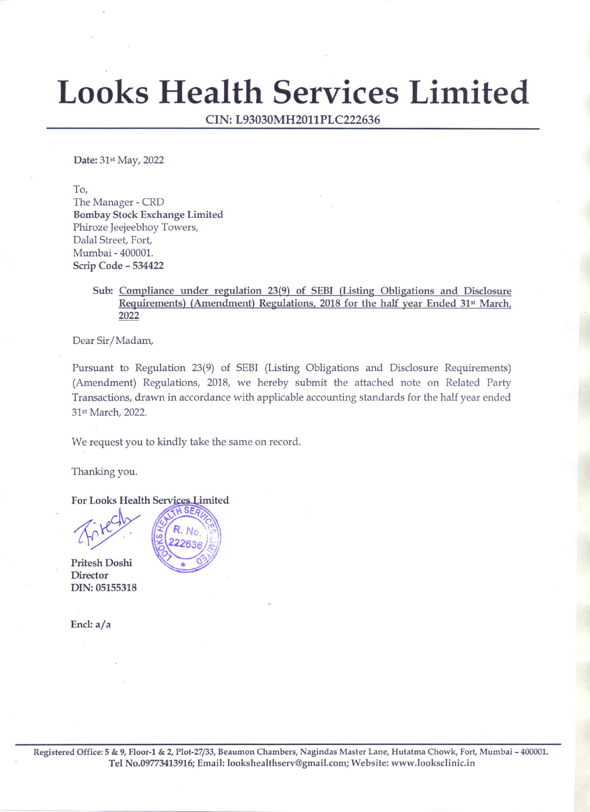# **Looks Health Services Limited**

CIN: L93030MH2011PLC222636

Date: 31st May, 2022

To,

The Manager - CRD Bombay Stock Exchange Limited Phiroze Jeejeebhoy Towers, Dalal Street, Fort, Mumbai - 400001. Scrip Code - 534422

# Sub: Compliance under regulation 23(9) of SEBI (Listing Obligations and Disclosure Requirements) (Amendment) Regulations, 2018 for the half year Ended 31st March, 2022

Dear Sir/Madam,

Pursuant to Regulation 23(9) of SEBI (Listing Obligations and Disclosure Requirements) (Amendment) Regulations, 2018, we hereby submit the attached note on Related Party Transactions, drawn in accordance with applicable accounting standards for the half year ended 31st March, 2022.

We request you to kindly take the same on record.

No. 22636

Thanking you.

For Looks Health Services Limited **SEA** 

Pritesh Doshi **Director** DIN: 05155318

Encl: a/a